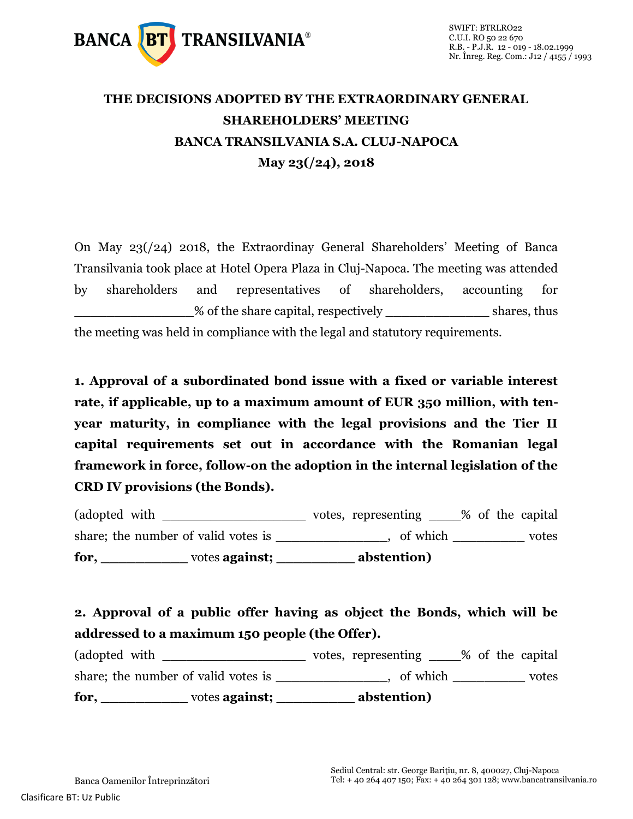

## **THE DECISIONS ADOPTED BY THE EXTRAORDINARY GENERAL SHAREHOLDERS' MEETING BANCA TRANSILVANIA S.A. CLUJ-NAPOCA May 23(/24), 2018**

On May 23(/24) 2018, the Extraordinay General Shareholders' Meeting of Banca Transilvania took place at Hotel Opera Plaza in Cluj-Napoca. The meeting was attended by shareholders and representatives of shareholders, accounting for % of the share capital, respectively shares, thus the meeting was held in compliance with the legal and statutory requirements.

**1. Approval of a subordinated bond issue with a fixed or variable interest rate, if applicable, up to a maximum amount of EUR 350 million, with tenyear maturity, in compliance with the legal provisions and the Tier II capital requirements set out in accordance with the Romanian legal framework in force, follow-on the adoption in the internal legislation of the CRD IV provisions (the Bonds).**

(adopted with \_\_\_\_\_\_\_\_\_\_\_\_\_\_\_\_\_\_\_\_\_\_ votes, representing \_\_\_\_% of the capital share; the number of valid votes is example the number of valid votes is  $\qquad \qquad$ , of which votes **for, \_\_\_\_\_\_\_\_\_\_** votes **against; \_\_\_\_\_\_\_\_\_ abstention)**

**2. Approval of a public offer having as object the Bonds, which will be addressed to a maximum 150 people (the Offer).**

(adopted with \_\_\_\_\_\_\_\_\_\_\_\_\_\_\_\_\_\_\_\_\_\_ votes, representing \_\_\_\_% of the capital share; the number of valid votes is \_\_\_\_\_\_\_\_\_\_\_\_\_, of which \_\_\_\_\_\_\_\_\_\_ votes **for, \_\_\_\_\_\_\_\_\_\_** votes **against; \_\_\_\_\_\_\_\_\_ abstention)**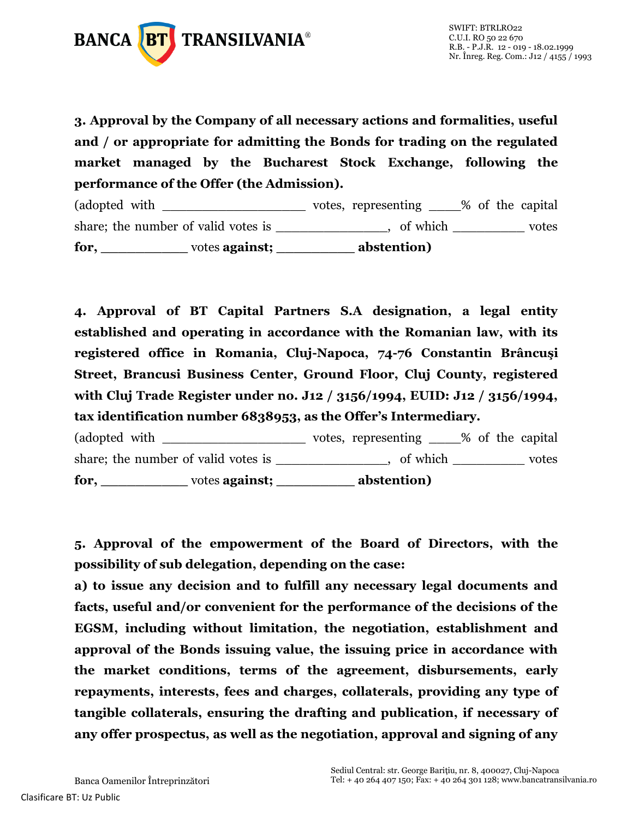

**3. Approval by the Company of all necessary actions and formalities, useful and / or appropriate for admitting the Bonds for trading on the regulated market managed by the Bucharest Stock Exchange, following the performance of the Offer (the Admission).**

(adopted with \_\_\_\_\_\_\_\_\_\_\_\_\_\_\_\_\_\_\_\_\_\_ votes, representing \_\_\_\_% of the capital share; the number of valid votes is \_\_\_\_\_\_\_\_\_\_\_\_\_, of which \_\_\_\_\_\_\_\_\_\_ votes **for, \_\_\_\_\_\_\_\_\_\_** votes **against; \_\_\_\_\_\_\_\_\_ abstention)**

**4. Approval of BT Capital Partners S.A designation, a legal entity established and operating in accordance with the Romanian law, with its registered office in Romania, Cluj-Napoca, 74-76 Constantin Brâncuşi Street, Brancusi Business Center, Ground Floor, Cluj County, registered with Cluj Trade Register under no. J12 / 3156/1994, EUID: J12 / 3156/1994, tax identification number 6838953, as the Offer's Intermediary.**

(adopted with  $\qquad \qquad \qquad \text{votes, representing } \qquad \qquad \text{\% of the capital}$ share; the number of valid votes is \_\_\_\_\_\_\_\_\_\_\_\_, of which \_\_\_\_\_\_\_\_\_\_ votes **for, \_\_\_\_\_\_\_\_\_\_** votes **against; \_\_\_\_\_\_\_\_\_ abstention)**

**5. Approval of the empowerment of the Board of Directors, with the possibility of sub delegation, depending on the case:**

**a) to issue any decision and to fulfill any necessary legal documents and facts, useful and/or convenient for the performance of the decisions of the EGSM, including without limitation, the negotiation, establishment and approval of the Bonds issuing value, the issuing price in accordance with the market conditions, terms of the agreement, disbursements, early repayments, interests, fees and charges, collaterals, providing any type of tangible collaterals, ensuring the drafting and publication, if necessary of any offer prospectus, as well as the negotiation, approval and signing of any**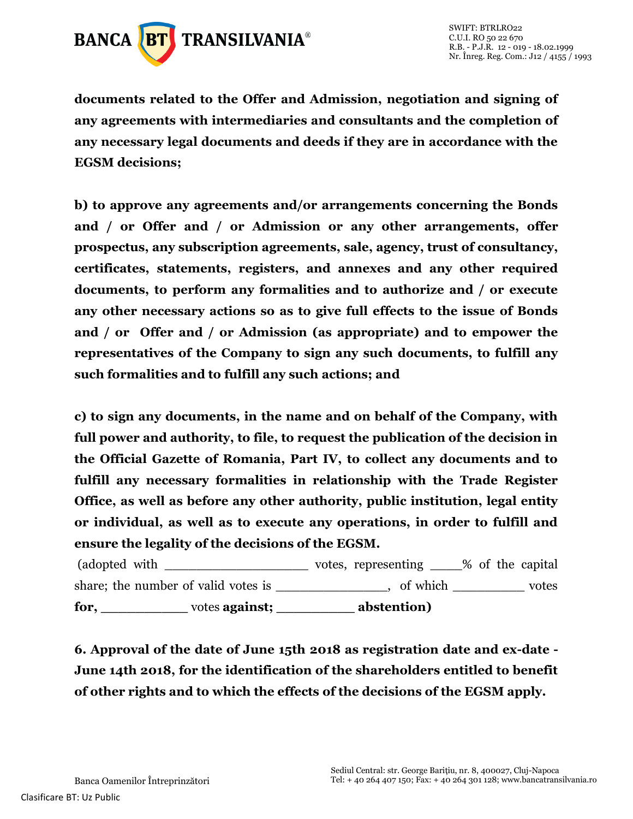

**documents related to the Offer and Admission, negotiation and signing of any agreements with intermediaries and consultants and the completion of any necessary legal documents and deeds if they are in accordance with the EGSM decisions;**

**b) to approve any agreements and/or arrangements concerning the Bonds and / or Offer and / or Admission or any other arrangements, offer prospectus, any subscription agreements, sale, agency, trust of consultancy, certificates, statements, registers, and annexes and any other required documents, to perform any formalities and to authorize and / or execute any other necessary actions so as to give full effects to the issue of Bonds and / or Offer and / or Admission (as appropriate) and to empower the representatives of the Company to sign any such documents, to fulfill any such formalities and to fulfill any such actions; and**

**c) to sign any documents, in the name and on behalf of the Company, with full power and authority, to file, to request the publication of the decision in the Official Gazette of Romania, Part IV, to collect any documents and to fulfill any necessary formalities in relationship with the Trade Register Office, as well as before any other authority, public institution, legal entity or individual, as well as to execute any operations, in order to fulfill and ensure the legality of the decisions of the EGSM.**

(adopted with \_\_\_\_\_\_\_\_\_\_\_\_\_\_\_\_\_\_\_\_\_\_\_ votes, representing \_\_\_\_% of the capital share; the number of valid votes is example the number of valid votes is  $\qquad \qquad$  , of which  $\qquad \qquad$  votes **for, \_\_\_\_\_\_\_\_\_\_** votes **against; \_\_\_\_\_\_\_\_\_ abstention)**

**6. Approval of the date of June 15th 2018 as registration date and ex-date - June 14th 2018, for the identification of the shareholders entitled to benefit of other rights and to which the effects of the decisions of the EGSM apply.**